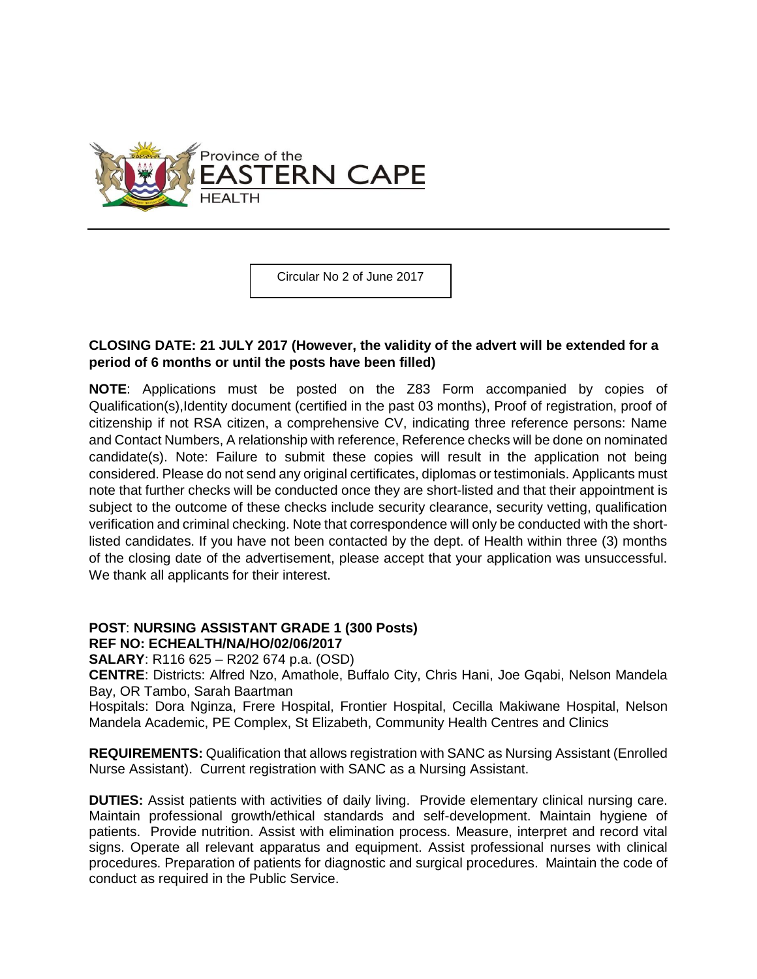

Circular No 2 of June 2017

## **CLOSING DATE: 21 JULY 2017 (However, the validity of the advert will be extended for a period of 6 months or until the posts have been filled)**

**NOTE**: Applications must be posted on the Z83 Form accompanied by copies of Qualification(s),Identity document (certified in the past 03 months), Proof of registration, proof of citizenship if not RSA citizen, a comprehensive CV, indicating three reference persons: Name and Contact Numbers, A relationship with reference, Reference checks will be done on nominated candidate(s). Note: Failure to submit these copies will result in the application not being considered. Please do not send any original certificates, diplomas or testimonials. Applicants must note that further checks will be conducted once they are short-listed and that their appointment is subject to the outcome of these checks include security clearance, security vetting, qualification verification and criminal checking. Note that correspondence will only be conducted with the shortlisted candidates. If you have not been contacted by the dept. of Health within three (3) months of the closing date of the advertisement, please accept that your application was unsuccessful. We thank all applicants for their interest.

## **POST**: **NURSING ASSISTANT GRADE 1 (300 Posts) REF NO: ECHEALTH/NA/HO/02/06/2017**

**SALARY**: R116 625 – R202 674 p.a. (OSD)

**CENTRE**: Districts: Alfred Nzo, Amathole, Buffalo City, Chris Hani, Joe Gqabi, Nelson Mandela Bay, OR Tambo, Sarah Baartman

Hospitals: Dora Nginza, Frere Hospital, Frontier Hospital, Cecilla Makiwane Hospital, Nelson Mandela Academic, PE Complex, St Elizabeth, Community Health Centres and Clinics

**REQUIREMENTS:** Qualification that allows registration with SANC as Nursing Assistant (Enrolled Nurse Assistant). Current registration with SANC as a Nursing Assistant.

**DUTIES:** Assist patients with activities of daily living. Provide elementary clinical nursing care. Maintain professional growth/ethical standards and self-development. Maintain hygiene of patients. Provide nutrition. Assist with elimination process. Measure, interpret and record vital signs. Operate all relevant apparatus and equipment. Assist professional nurses with clinical procedures. Preparation of patients for diagnostic and surgical procedures. Maintain the code of conduct as required in the Public Service.